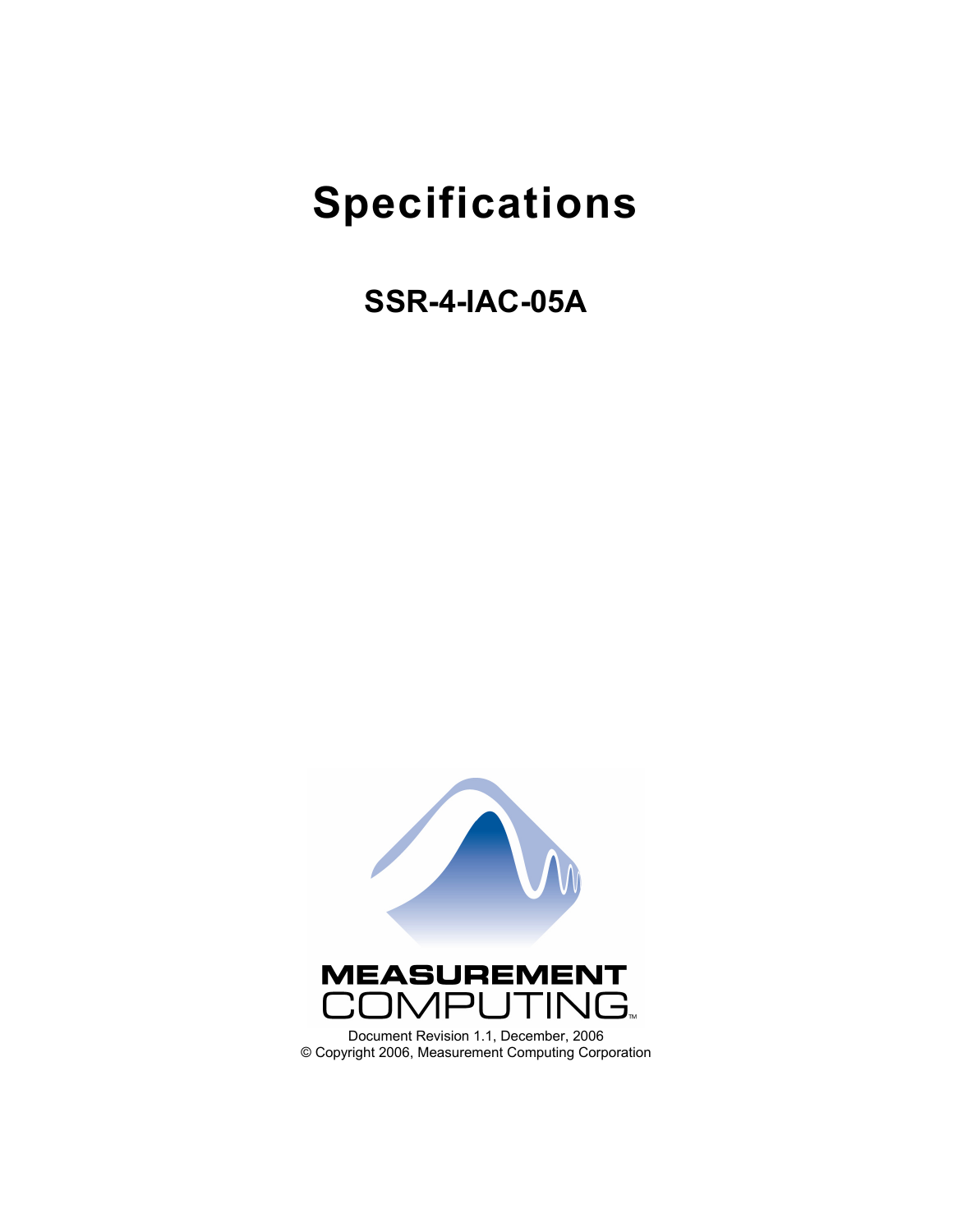# **Specifications**

**SSR-4-IAC-05A** 

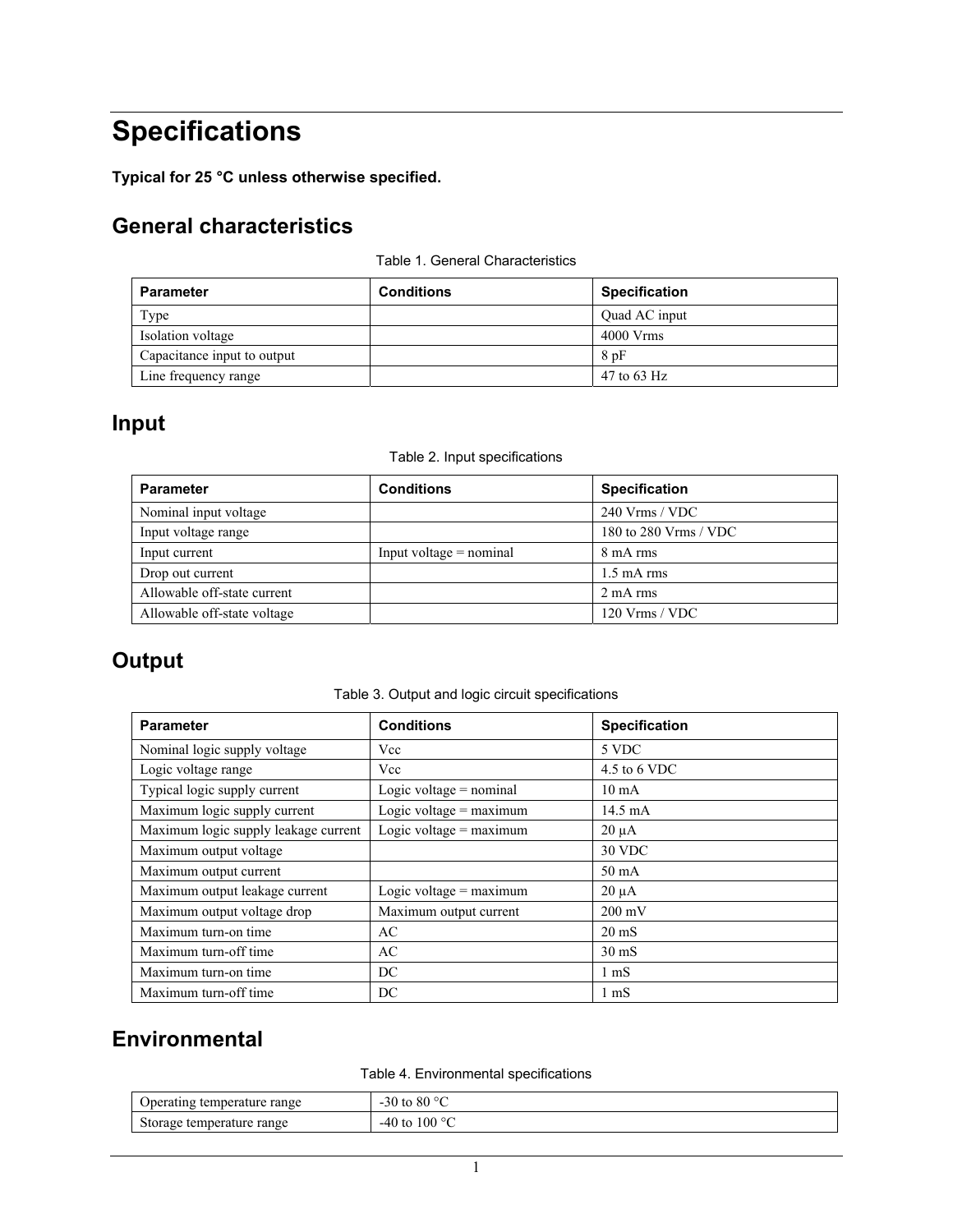## **Specifications**

**Typical for 25 °C unless otherwise specified.** 

## **General characteristics**

| Table 1. General Characteristics |  |
|----------------------------------|--|
|----------------------------------|--|

| <b>Parameter</b>            | <b>Conditions</b> | <b>Specification</b> |
|-----------------------------|-------------------|----------------------|
| Type                        |                   | Quad AC input        |
| Isolation voltage           |                   | $4000$ Vrms          |
| Capacitance input to output |                   | 8pF                  |
| Line frequency range        |                   | 47 to 63 Hz          |

## **Input**

#### Table 2. Input specifications

| <b>Parameter</b>            | <b>Conditions</b>         | <b>Specification</b>  |
|-----------------------------|---------------------------|-----------------------|
| Nominal input voltage       |                           | $240$ Vrms / VDC      |
| Input voltage range         |                           | 180 to 280 Vrms / VDC |
| Input current               | $Input voltage = nominal$ | 8 mA rms              |
| Drop out current            |                           | $1.5 \text{ mA}$ rms  |
| Allowable off-state current |                           | 2 mA rms              |
| Allowable off-state voltage |                           | $120$ Vrms / VDC      |

## **Output**

Table 3. Output and logic circuit specifications

| <b>Parameter</b>                     | <b>Conditions</b>         | <b>Specification</b> |
|--------------------------------------|---------------------------|----------------------|
| Nominal logic supply voltage         | Vcc                       | 5 VDC                |
| Logic voltage range                  | Vcc                       | 4.5 to 6 VDC         |
| Typical logic supply current         | Logic voltage $=$ nominal | $10 \text{ mA}$      |
| Maximum logic supply current         | Logic voltage = $maximum$ | 14.5 mA              |
| Maximum logic supply leakage current | Logic voltage $=$ maximum | $20 \mu A$           |
| Maximum output voltage               |                           | 30 VDC               |
| Maximum output current               |                           | $50 \text{ mA}$      |
| Maximum output leakage current       | Logic voltage = $maximum$ | $20 \mu A$           |
| Maximum output voltage drop          | Maximum output current    | $200 \text{ mV}$     |
| Maximum turn-on time                 | AC                        | $20 \text{ mS}$      |
| Maximum turn-off time                | AC                        | $30 \text{ mS}$      |
| Maximum turn-on time                 | DC                        | $1 \text{ mS}$       |
| Maximum turn-off time                | DC                        | $1 \text{ mS}$       |

### **Environmental**

Table 4. Environmental specifications

| Operating temperature range | -30 to 80 $\degree$ C |
|-----------------------------|-----------------------|
| Storage temperature range   | $-40$ to $100$ °C     |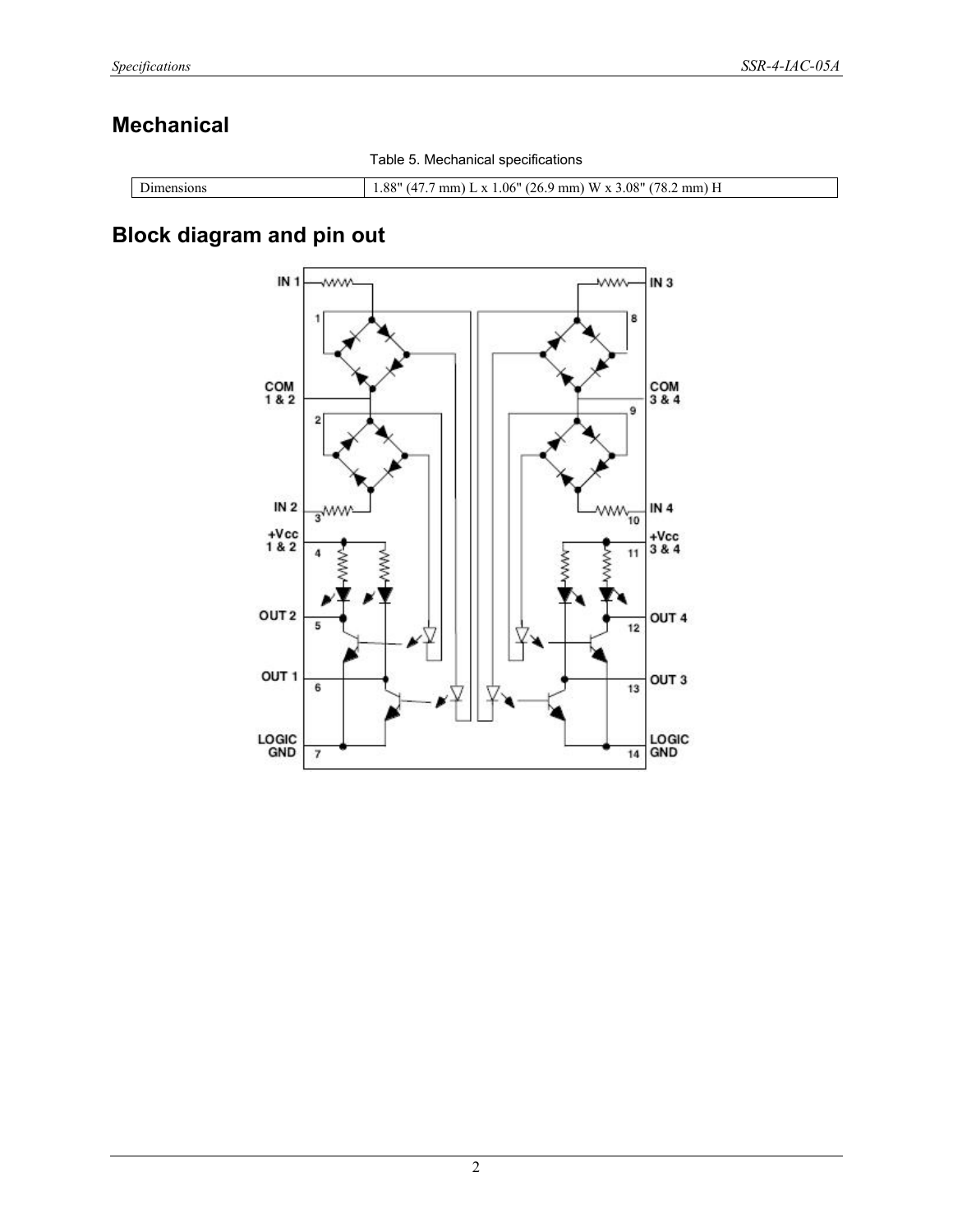## **Mechanical**

Table 5. Mechanical specifications

| nsions<br>ne. | 001<br>178<br>. 08"<br>269<br>$\mathbf{M}$<br>.06<br>mm<br>$\mathbf{v}$<br>mm) H<br>mm<br>$\cdot$<br>- 00<br>ິ |
|---------------|----------------------------------------------------------------------------------------------------------------|

## **Block diagram and pin out**